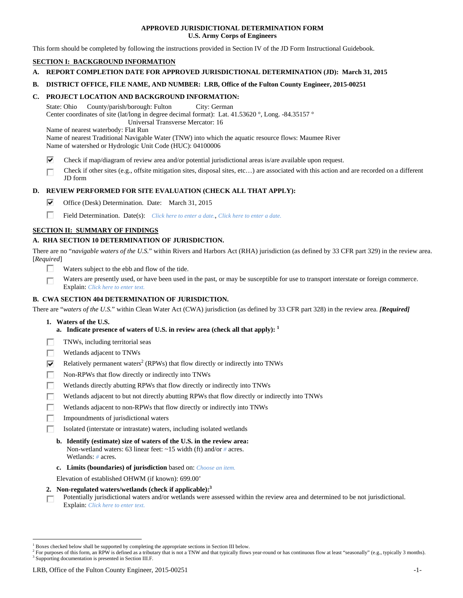### **APPROVED JURISDICTIONAL DETERMINATION FORM U.S. Army Corps of Engineers**

This form should be completed by following the instructions provided in Section IV of the JD Form Instructional Guidebook.

## **SECTION I: BACKGROUND INFORMATION**

**A. REPORT COMPLETION DATE FOR APPROVED JURISDICTIONAL DETERMINATION (JD): March 31, 2015** 

### **B. DISTRICT OFFICE, FILE NAME, AND NUMBER: LRB, Office of the Fulton County Engineer, 2015-00251**

### **C. PROJECT LOCATION AND BACKGROUND INFORMATION:**

State: Ohio County/parish/borough: Fulton City: German Center coordinates of site (lat/long in degree decimal format): Lat. 41.53620 °, Long. -84.35157 ° Universal Transverse Mercator: 16

Name of nearest waterbody: Flat Run

Name of nearest Traditional Navigable Water (TNW) into which the aquatic resource flows: Maumee River Name of watershed or Hydrologic Unit Code (HUC): 04100006

- ⊽ Check if map/diagram of review area and/or potential jurisdictional areas is/are available upon request.
- Check if other sites (e.g., offsite mitigation sites, disposal sites, etc…) are associated with this action and are recorded on a different г JD form

## **D. REVIEW PERFORMED FOR SITE EVALUATION (CHECK ALL THAT APPLY):**

- ⊽ Office (Desk) Determination. Date: March 31, 2015
- П Field Determination. Date(s): *Click here to enter a date.*, *Click here to enter a date.*

## **SECTION II: SUMMARY OF FINDINGS**

# **A. RHA SECTION 10 DETERMINATION OF JURISDICTION.**

There are no "*navigable waters of the U.S.*" within Rivers and Harbors Act (RHA) jurisdiction (as defined by 33 CFR part 329) in the review area. [*Required*]

- п. Waters subject to the ebb and flow of the tide.
- Waters are presently used, or have been used in the past, or may be susceptible for use to transport interstate or foreign commerce. г Explain: *Click here to enter text.*

## **B. CWA SECTION 404 DETERMINATION OF JURISDICTION.**

There are "*waters of the U.S.*" within Clean Water Act (CWA) jurisdiction (as defined by 33 CFR part 328) in the review area. *[Required]*

- **1. Waters of the U.S.** 
	- **a.** Indicate presence of waters of U.S. in review area (check all that apply):  $<sup>1</sup>$ </sup>
- Е TNWs, including territorial seas
- п Wetlands adjacent to TNWs
- ☑ Relatively permanent waters<sup>2</sup> (RPWs) that flow directly or indirectly into TNWs
- г Non-RPWs that flow directly or indirectly into TNWs
- п Wetlands directly abutting RPWs that flow directly or indirectly into TNWs
- Wetlands adjacent to but not directly abutting RPWs that flow directly or indirectly into TNWs Е
- Wetlands adjacent to non-RPWs that flow directly or indirectly into TNWs г
- п Impoundments of jurisdictional waters
- Isolated (interstate or intrastate) waters, including isolated wetlands П.
	- **b. Identify (estimate) size of waters of the U.S. in the review area:**  Non-wetland waters: 63 linear feet: ~15 width (ft) and/or *#* acres. Wetlands: *#* acres.
	- **c. Limits (boundaries) of jurisdiction** based on: *Choose an item.*

Elevation of established OHWM (if known): 699.00'

- **2. Non-regulated waters/wetlands (check if applicable):3**
- Potentially jurisdictional waters and/or wetlands were assessed within the review area and determined to be not jurisdictional. п Explain: *Click here to enter text.*

<sup>&</sup>lt;sup>1</sup> Boxes checked below shall be supported by completing the appropriate sections in Section III below.

<sup>&</sup>lt;sup>2</sup> For purposes of this form, an RPW is defined as a tributary that is not a TNW and that typically flows year-round or has continuous flow at least "seasonally" (e.g., typically 3 months). <sup>3</sup> Supporting documentation is presented in Section III.F.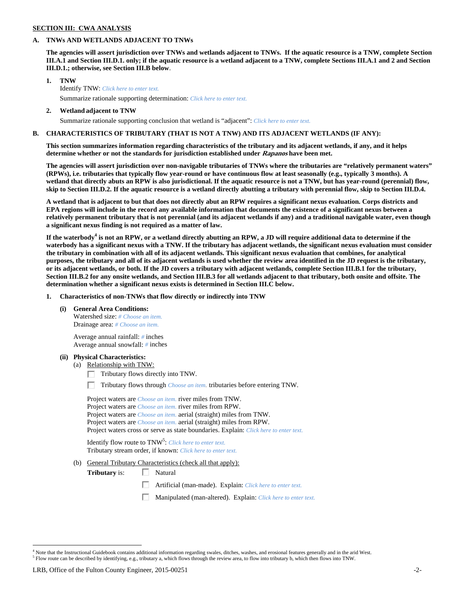## **SECTION III: CWA ANALYSIS**

### **A. TNWs AND WETLANDS ADJACENT TO TNWs**

**The agencies will assert jurisdiction over TNWs and wetlands adjacent to TNWs. If the aquatic resource is a TNW, complete Section III.A.1 and Section III.D.1. only; if the aquatic resource is a wetland adjacent to a TNW, complete Sections III.A.1 and 2 and Section III.D.1.; otherwise, see Section III.B below**.

- **1. TNW**  Identify TNW: *Click here to enter text.*
	- Summarize rationale supporting determination: *Click here to enter text.*
- **2. Wetland adjacent to TNW**  Summarize rationale supporting conclusion that wetland is "adjacent": *Click here to enter text.*

## **B. CHARACTERISTICS OF TRIBUTARY (THAT IS NOT A TNW) AND ITS ADJACENT WETLANDS (IF ANY):**

**This section summarizes information regarding characteristics of the tributary and its adjacent wetlands, if any, and it helps determine whether or not the standards for jurisdiction established under Rapanos have been met.** 

**The agencies will assert jurisdiction over non-navigable tributaries of TNWs where the tributaries are "relatively permanent waters" (RPWs), i.e. tributaries that typically flow year-round or have continuous flow at least seasonally (e.g., typically 3 months). A wetland that directly abuts an RPW is also jurisdictional. If the aquatic resource is not a TNW, but has year-round (perennial) flow, skip to Section III.D.2. If the aquatic resource is a wetland directly abutting a tributary with perennial flow, skip to Section III.D.4.** 

**A wetland that is adjacent to but that does not directly abut an RPW requires a significant nexus evaluation. Corps districts and EPA regions will include in the record any available information that documents the existence of a significant nexus between a relatively permanent tributary that is not perennial (and its adjacent wetlands if any) and a traditional navigable water, even though a significant nexus finding is not required as a matter of law.** 

If the waterbody<sup>4</sup> is not an RPW, or a wetland directly abutting an RPW, a JD will require additional data to determine if the **waterbody has a significant nexus with a TNW. If the tributary has adjacent wetlands, the significant nexus evaluation must consider the tributary in combination with all of its adjacent wetlands. This significant nexus evaluation that combines, for analytical purposes, the tributary and all of its adjacent wetlands is used whether the review area identified in the JD request is the tributary, or its adjacent wetlands, or both. If the JD covers a tributary with adjacent wetlands, complete Section III.B.1 for the tributary, Section III.B.2 for any onsite wetlands, and Section III.B.3 for all wetlands adjacent to that tributary, both onsite and offsite. The determination whether a significant nexus exists is determined in Section III.C below.** 

 **1. Characteristics of non-TNWs that flow directly or indirectly into TNW** 

 **(i) General Area Conditions:** 

 Watershed size: *# Choose an item.* Drainage area: *# Choose an item.*

 Average annual rainfall: *#* inches Average annual snowfall: *#* inches

#### **(ii) Physical Characteristics:**

- (a) Relationship with TNW:
	- $\Box$  Tributary flows directly into TNW.

п Tributary flows through *Choose an item.* tributaries before entering TNW.

 Project waters are *Choose an item.* river miles from TNW. Project waters are *Choose an item.* river miles from RPW. Project waters are *Choose an item.* aerial (straight) miles from TNW. Project waters are *Choose an item.* aerial (straight) miles from RPW. Project waters cross or serve as state boundaries. Explain: *Click here to enter text.*

Identify flow route to TNW<sup>5</sup>: *Click here to enter text.* Tributary stream order, if known: *Click here to enter text.*

(b) General Tributary Characteristics (check all that apply):

**Tributary** is:  $\Box$  Natural

- 口 Artificial (man-made). Explain: *Click here to enter text.*
- 口 Manipulated (man-altered). Explain: *Click here to enter text.*

<sup>&</sup>lt;sup>4</sup> Note that the Instructional Guidebook contains additional information regarding swales, ditches, washes, and erosional features generally and in the arid West.  $<sup>5</sup>$  Flow route can be described by identifying, e.g., tributary a, which flows through the review area, to flow into tributary b, which then flows into TNW.</sup>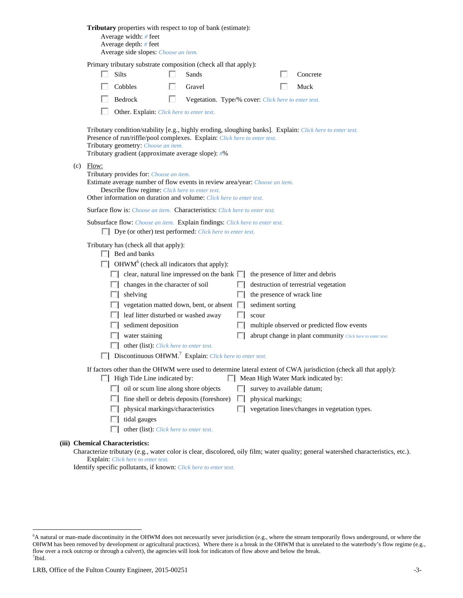| <b>Tributary</b> properties with respect to top of bank (estimate):<br>Average width: # feet<br>Average depth: # feet<br>Average side slopes: Choose an item.                                                                                                                                                                                                                                                                                                                                                                                                                                                                                                                                                                                        |
|------------------------------------------------------------------------------------------------------------------------------------------------------------------------------------------------------------------------------------------------------------------------------------------------------------------------------------------------------------------------------------------------------------------------------------------------------------------------------------------------------------------------------------------------------------------------------------------------------------------------------------------------------------------------------------------------------------------------------------------------------|
| Primary tributary substrate composition (check all that apply):                                                                                                                                                                                                                                                                                                                                                                                                                                                                                                                                                                                                                                                                                      |
| <b>Silts</b><br>Sands<br>Concrete                                                                                                                                                                                                                                                                                                                                                                                                                                                                                                                                                                                                                                                                                                                    |
| Cobbles<br>Gravel<br>Muck                                                                                                                                                                                                                                                                                                                                                                                                                                                                                                                                                                                                                                                                                                                            |
| Bedrock<br>Vegetation. Type/% cover: Click here to enter text.                                                                                                                                                                                                                                                                                                                                                                                                                                                                                                                                                                                                                                                                                       |
| Other. Explain: Click here to enter text.                                                                                                                                                                                                                                                                                                                                                                                                                                                                                                                                                                                                                                                                                                            |
| Tributary condition/stability [e.g., highly eroding, sloughing banks]. Explain: Click here to enter text.<br>Presence of run/riffle/pool complexes. Explain: Click here to enter text.<br>Tributary geometry: Choose an item.<br>Tributary gradient (approximate average slope): #%                                                                                                                                                                                                                                                                                                                                                                                                                                                                  |
| $(c)$ Flow:<br>Tributary provides for: Choose an item.<br>Estimate average number of flow events in review area/year: Choose an item.<br>Describe flow regime: Click here to enter text.<br>Other information on duration and volume: Click here to enter text.                                                                                                                                                                                                                                                                                                                                                                                                                                                                                      |
| <b>Surface flow is:</b> <i>Choose an item.</i> <b>Characteristics:</b> <i>Click here to enter text.</i>                                                                                                                                                                                                                                                                                                                                                                                                                                                                                                                                                                                                                                              |
| Subsurface flow: Choose an item. Explain findings: Click here to enter text.                                                                                                                                                                                                                                                                                                                                                                                                                                                                                                                                                                                                                                                                         |
| $\Box$ Dye (or other) test performed: <i>Click here to enter text</i> .                                                                                                                                                                                                                                                                                                                                                                                                                                                                                                                                                                                                                                                                              |
| Tributary has (check all that apply):<br>$\Box$ Bed and banks<br>$\Box$ OHWM <sup>6</sup> (check all indicators that apply):<br>clear, natural line impressed on the bank $\Box$<br>the presence of litter and debris<br>changes in the character of soil<br>destruction of terrestrial vegetation<br>ш<br>the presence of wrack line<br>shelving<br>ш<br>vegetation matted down, bent, or absent $\Box$<br>sediment sorting<br>leaf litter disturbed or washed away<br>scour<br>sediment deposition<br>multiple observed or predicted flow events<br>water staining<br>abrupt change in plant community Click here to enter text.<br>other (list): Click here to enter text.<br>Discontinuous OHWM. <sup>7</sup> Explain: Click here to enter text. |
| If factors other than the OHWM were used to determine lateral extent of CWA jurisdiction (check all that apply):                                                                                                                                                                                                                                                                                                                                                                                                                                                                                                                                                                                                                                     |
| $\Box$ High Tide Line indicated by:<br>Mean High Water Mark indicated by:                                                                                                                                                                                                                                                                                                                                                                                                                                                                                                                                                                                                                                                                            |
| $\Box$ oil or scum line along shore objects<br>survey to available datum;                                                                                                                                                                                                                                                                                                                                                                                                                                                                                                                                                                                                                                                                            |
| fine shell or debris deposits (foreshore)<br>physical markings;<br>. .<br>physical markings/characteristics<br>vegetation lines/changes in vegetation types.                                                                                                                                                                                                                                                                                                                                                                                                                                                                                                                                                                                         |
| tidal gauges                                                                                                                                                                                                                                                                                                                                                                                                                                                                                                                                                                                                                                                                                                                                         |
| other (list): Click here to enter text.                                                                                                                                                                                                                                                                                                                                                                                                                                                                                                                                                                                                                                                                                                              |
| (iii) Chemical Characteristics:                                                                                                                                                                                                                                                                                                                                                                                                                                                                                                                                                                                                                                                                                                                      |
| Characterize tributary (e.g., water color is clear, discolored, oily film; water quality; general watershed characteristics, etc.).<br>Explain: Click here to enter text.                                                                                                                                                                                                                                                                                                                                                                                                                                                                                                                                                                            |

Identify specific pollutants, if known: *Click here to enter text.*

<sup>&</sup>lt;sup>6</sup>A natural or man-made discontinuity in the OHWM does not necessarily sever jurisdiction (e.g., where the stream temporarily flows underground, or where the OHWM has been removed by development or agricultural practices). Where there is a break in the OHWM that is unrelated to the waterbody's flow regime (e.g., flow over a rock outcrop or through a culvert), the agencies will look for indicators of flow above and below the break. 7 Ibid.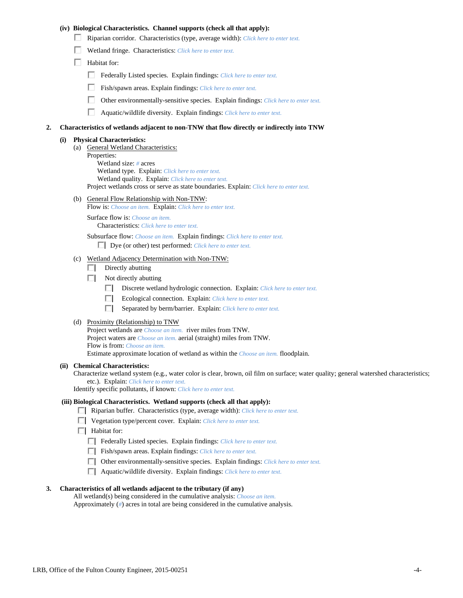### **(iv) Biological Characteristics. Channel supports (check all that apply):**

- Riparian corridor. Characteristics (type, average width): *Click here to enter text.*
- Wetland fringe. Characteristics: *Click here to enter text.*
- $\Box$  Habitat for:
	- Federally Listed species. Explain findings: *Click here to enter text*.
	- Fish/spawn areas. Explain findings: *Click here to enter text*.
	- п. Other environmentally-sensitive species. Explain findings: *Click here to enter text.*
	- П Aquatic/wildlife diversity. Explain findings: *Click here to enter text.*

#### **2. Characteristics of wetlands adjacent to non-TNW that flow directly or indirectly into TNW**

#### **(i) Physical Characteristics:**

- (a) General Wetland Characteristics:
	- Properties:

 Wetland size: *#* acres Wetland type. Explain: *Click here to enter text.*

Wetland quality. Explain: *Click here to enter text.*

Project wetlands cross or serve as state boundaries. Explain: *Click here to enter text.*

(b) General Flow Relationship with Non-TNW: Flow is: *Choose an item.* Explain: *Click here to enter text.*

 Surface flow is: *Choose an item.* Characteristics: *Click here to enter text.*

Subsurface flow: *Choose an item.* Explain findings: *Click here to enter text.*

Dye (or other) test performed: *Click here to enter text.*

#### (c) Wetland Adjacency Determination with Non-TNW:

- $\Box$  Directly abutting
- Not directly abutting
	- п. Discrete wetland hydrologic connection. Explain: *Click here to enter text.*
	- Ecological connection. Explain: *Click here to enter text.* П.
	- $\Box$ Separated by berm/barrier. Explain: *Click here to enter text.*
- (d) Proximity (Relationship) to TNW

Project wetlands are *Choose an item.* river miles from TNW. Project waters are *Choose an item.* aerial (straight) miles from TNW. Flow is from: *Choose an item.* Estimate approximate location of wetland as within the *Choose an item.* floodplain.

#### **(ii) Chemical Characteristics:**

Characterize wetland system (e.g., water color is clear, brown, oil film on surface; water quality; general watershed characteristics; etc.). Explain: *Click here to enter text.*

Identify specific pollutants, if known: *Click here to enter text.*

### **(iii) Biological Characteristics. Wetland supports (check all that apply):**

- Riparian buffer. Characteristics (type, average width): *Click here to enter text.*
- Vegetation type/percent cover. Explain: *Click here to enter text.*
- $\Box$  Habitat for:
	- Federally Listed species. Explain findings: *Click here to enter text*.
	- Fish/spawn areas. Explain findings: *Click here to enter text*.
	- Other environmentally-sensitive species. Explain findings: *Click here to enter text.*
	- Aquatic/wildlife diversity. Explain findings: *Click here to enter text.*

#### **3. Characteristics of all wetlands adjacent to the tributary (if any)**

 All wetland(s) being considered in the cumulative analysis: *Choose an item.* Approximately (*#*) acres in total are being considered in the cumulative analysis.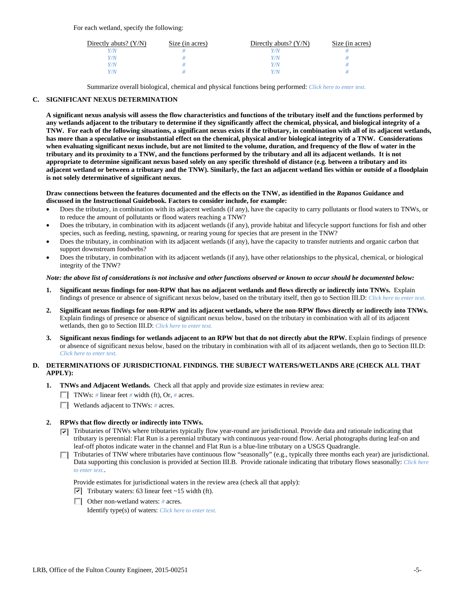| Directly abuts? $(Y/N)$ | Size (in acres) | Directly abuts? $(Y/N)$ | Size (in acres) |
|-------------------------|-----------------|-------------------------|-----------------|
| V/N                     |                 |                         |                 |
| v/N                     |                 | Y/N                     |                 |
| Y/N                     |                 | Y/N                     |                 |
| v/N                     |                 | Y/N                     |                 |

Summarize overall biological, chemical and physical functions being performed: *Click here to enter text.*

## **C. SIGNIFICANT NEXUS DETERMINATION**

**A significant nexus analysis will assess the flow characteristics and functions of the tributary itself and the functions performed by any wetlands adjacent to the tributary to determine if they significantly affect the chemical, physical, and biological integrity of a TNW. For each of the following situations, a significant nexus exists if the tributary, in combination with all of its adjacent wetlands, has more than a speculative or insubstantial effect on the chemical, physical and/or biological integrity of a TNW. Considerations when evaluating significant nexus include, but are not limited to the volume, duration, and frequency of the flow of water in the tributary and its proximity to a TNW, and the functions performed by the tributary and all its adjacent wetlands. It is not appropriate to determine significant nexus based solely on any specific threshold of distance (e.g. between a tributary and its adjacent wetland or between a tributary and the TNW). Similarly, the fact an adjacent wetland lies within or outside of a floodplain is not solely determinative of significant nexus.** 

#### **Draw connections between the features documented and the effects on the TNW, as identified in the** *Rapanos* **Guidance and discussed in the Instructional Guidebook. Factors to consider include, for example:**

- Does the tributary, in combination with its adjacent wetlands (if any), have the capacity to carry pollutants or flood waters to TNWs, or to reduce the amount of pollutants or flood waters reaching a TNW?
- Does the tributary, in combination with its adjacent wetlands (if any), provide habitat and lifecycle support functions for fish and other species, such as feeding, nesting, spawning, or rearing young for species that are present in the TNW?
- Does the tributary, in combination with its adjacent wetlands (if any), have the capacity to transfer nutrients and organic carbon that support downstream foodwebs?
- Does the tributary, in combination with its adjacent wetlands (if any), have other relationships to the physical, chemical, or biological integrity of the TNW?

#### *Note: the above list of considerations is not inclusive and other functions observed or known to occur should be documented below:*

- **1. Significant nexus findings for non-RPW that has no adjacent wetlands and flows directly or indirectly into TNWs.** Explain findings of presence or absence of significant nexus below, based on the tributary itself, then go to Section III.D: *Click here to enter text.*
- **2. Significant nexus findings for non-RPW and its adjacent wetlands, where the non-RPW flows directly or indirectly into TNWs.**  Explain findings of presence or absence of significant nexus below, based on the tributary in combination with all of its adjacent wetlands, then go to Section III.D: *Click here to enter text.*
- **3. Significant nexus findings for wetlands adjacent to an RPW but that do not directly abut the RPW.** Explain findings of presence or absence of significant nexus below, based on the tributary in combination with all of its adjacent wetlands, then go to Section III.D: *Click here to enter text.*

## **D. DETERMINATIONS OF JURISDICTIONAL FINDINGS. THE SUBJECT WATERS/WETLANDS ARE (CHECK ALL THAT APPLY):**

- **1. TNWs and Adjacent Wetlands.** Check all that apply and provide size estimates in review area:
	- TNWs: *#* linear feet *#* width (ft), Or, *#* acres.
	- Wetlands adjacent to TNWs: *#* acres.
- **2. RPWs that flow directly or indirectly into TNWs.** 
	- Tributaries of TNWs where tributaries typically flow year-round are jurisdictional. Provide data and rationale indicating that tributary is perennial: Flat Run is a perennial tributary with continuous year-round flow. Aerial photographs during leaf-on and leaf-off photos indicate water in the channel and Flat Run is a blue-line tributary on a USGS Quadrangle.
	- Tributaries of TNW where tributaries have continuous flow "seasonally" (e.g., typically three months each year) are jurisdictional. Data supporting this conclusion is provided at Section III.B. Provide rationale indicating that tributary flows seasonally: *Click here to enter text.*.

Provide estimates for jurisdictional waters in the review area (check all that apply):

- $\triangledown$  Tributary waters: 63 linear feet ~15 width (ft).
- Other non-wetland waters: *#* acres.

Identify type(s) of waters: *Click here to enter text.*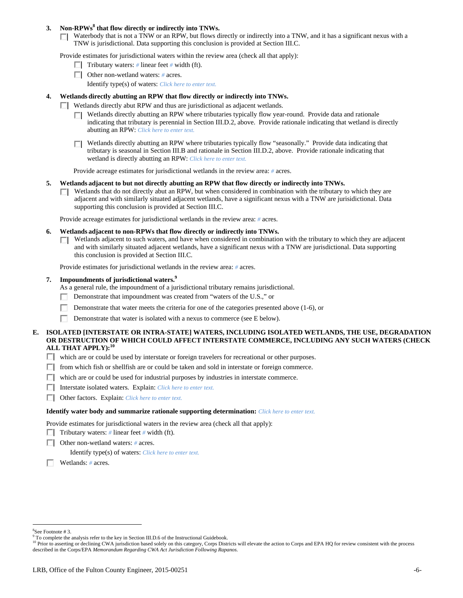## **3. Non-RPWs<sup>8</sup> that flow directly or indirectly into TNWs.**

Waterbody that is not a TNW or an RPW, but flows directly or indirectly into a TNW, and it has a significant nexus with a TNW is jurisdictional. Data supporting this conclusion is provided at Section III.C.

Provide estimates for jurisdictional waters within the review area (check all that apply):

- **Tributary waters:** # linear feet # width (ft).
- Other non-wetland waters: *#* acres.
	- Identify type(s) of waters: *Click here to enter text.*

## **4. Wetlands directly abutting an RPW that flow directly or indirectly into TNWs.**

- **Wetlands directly abut RPW and thus are jurisdictional as adjacent wetlands.** 
	- Wetlands directly abutting an RPW where tributaries typically flow year-round. Provide data and rationale indicating that tributary is perennial in Section III.D.2, above. Provide rationale indicating that wetland is directly abutting an RPW: *Click here to enter text.*
	- Wetlands directly abutting an RPW where tributaries typically flow "seasonally." Provide data indicating that П tributary is seasonal in Section III.B and rationale in Section III.D.2, above. Provide rationale indicating that wetland is directly abutting an RPW: *Click here to enter text.*

Provide acreage estimates for jurisdictional wetlands in the review area: *#* acres.

- **5. Wetlands adjacent to but not directly abutting an RPW that flow directly or indirectly into TNWs.** 
	- $\Box$  Wetlands that do not directly abut an RPW, but when considered in combination with the tributary to which they are adjacent and with similarly situated adjacent wetlands, have a significant nexus with a TNW are jurisidictional. Data supporting this conclusion is provided at Section III.C.

Provide acreage estimates for jurisdictional wetlands in the review area: *#* acres.

- **6. Wetlands adjacent to non-RPWs that flow directly or indirectly into TNWs.** 
	- Wetlands adjacent to such waters, and have when considered in combination with the tributary to which they are adjacent П. and with similarly situated adjacent wetlands, have a significant nexus with a TNW are jurisdictional. Data supporting this conclusion is provided at Section III.C.

Provide estimates for jurisdictional wetlands in the review area: *#* acres.

#### **7. Impoundments of jurisdictional waters.9**

As a general rule, the impoundment of a jurisdictional tributary remains jurisdictional.

- Demonstrate that impoundment was created from "waters of the U.S.," or
- Demonstrate that water meets the criteria for one of the categories presented above (1-6), or
- Demonstrate that water is isolated with a nexus to commerce (see E below).
- **E. ISOLATED [INTERSTATE OR INTRA-STATE] WATERS, INCLUDING ISOLATED WETLANDS, THE USE, DEGRADATION OR DESTRUCTION OF WHICH COULD AFFECT INTERSTATE COMMERCE, INCLUDING ANY SUCH WATERS (CHECK ALL THAT APPLY):<sup>10</sup>**
	- which are or could be used by interstate or foreign travelers for recreational or other purposes.
	- $\Box$  from which fish or shellfish are or could be taken and sold in interstate or foreign commerce.
	- $\Box$  which are or could be used for industrial purposes by industries in interstate commerce.
	- Interstate isolated waters.Explain: *Click here to enter text.*
	- Other factors.Explain: *Click here to enter text.*

#### **Identify water body and summarize rationale supporting determination:** *Click here to enter text.*

Provide estimates for jurisdictional waters in the review area (check all that apply):

- **Tributary waters:** # linear feet # width (ft).
- Other non-wetland waters: *#* acres.

Identify type(s) of waters: *Click here to enter text.*

Wetlands: *#* acres.

<sup>8</sup> See Footnote # 3.

<sup>&</sup>lt;sup>9</sup> To complete the analysis refer to the key in Section III.D.6 of the Instructional Guidebook.

<sup>&</sup>lt;sup>10</sup> Prior to asserting or declining CWA jurisdiction based solely on this category, Corps Districts will elevate the action to Corps and EPA HQ for review consistent with the process described in the Corps/EPA *Memorandum Regarding CWA Act Jurisdiction Following Rapanos.*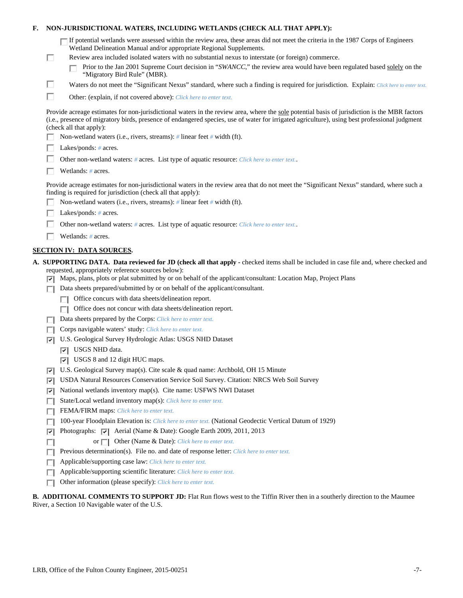| F. |   | NON-JURISDICTIONAL WATERS, INCLUDING WETLANDS (CHECK ALL THAT APPLY):                                                                                                                                                                                                                                                                                                                                                                                                     |
|----|---|---------------------------------------------------------------------------------------------------------------------------------------------------------------------------------------------------------------------------------------------------------------------------------------------------------------------------------------------------------------------------------------------------------------------------------------------------------------------------|
|    | П | If potential wetlands were assessed within the review area, these areas did not meet the criteria in the 1987 Corps of Engineers<br>Wetland Delineation Manual and/or appropriate Regional Supplements.<br>Review area included isolated waters with no substantial nexus to interstate (or foreign) commerce.<br>Prior to the Jan 2001 Supreme Court decision in "SWANCC," the review area would have been regulated based solely on the<br>"Migratory Bird Rule" (MBR). |
|    | ш | Waters do not meet the "Significant Nexus" standard, where such a finding is required for jurisdiction. Explain: Click here to enter text.                                                                                                                                                                                                                                                                                                                                |
|    | П | Other: (explain, if not covered above): Click here to enter text.                                                                                                                                                                                                                                                                                                                                                                                                         |
|    |   | Provide acreage estimates for non-jurisdictional waters in the review area, where the sole potential basis of jurisdiction is the MBR factors<br>(i.e., presence of migratory birds, presence of endangered species, use of water for irrigated agriculture), using best professional judgment<br>(check all that apply):                                                                                                                                                 |
|    |   | Non-wetland waters (i.e., rivers, streams): # linear feet # width (ft).                                                                                                                                                                                                                                                                                                                                                                                                   |
|    |   | Lakes/ponds: $# \, \text{acres.}$                                                                                                                                                                                                                                                                                                                                                                                                                                         |
|    |   | Other non-wetland waters: # acres. List type of aquatic resource: Click here to enter text                                                                                                                                                                                                                                                                                                                                                                                |
|    |   | Wetlands: # acres.                                                                                                                                                                                                                                                                                                                                                                                                                                                        |
|    |   | Provide acreage estimates for non-jurisdictional waters in the review area that do not meet the "Significant Nexus" standard, where such a<br>finding is required for jurisdiction (check all that apply):<br>Non-wetland waters (i.e., rivers, streams): $\#$ linear feet $\#$ width (ft).                                                                                                                                                                               |
|    |   | Lakes/ponds: $# \, \text{acres.}$                                                                                                                                                                                                                                                                                                                                                                                                                                         |
|    |   | Other non-wetland waters: # acres. List type of aquatic resource: Click here to enter text                                                                                                                                                                                                                                                                                                                                                                                |
|    |   | Wetlands: # acres.                                                                                                                                                                                                                                                                                                                                                                                                                                                        |
|    |   |                                                                                                                                                                                                                                                                                                                                                                                                                                                                           |
|    |   | <b>SECTION IV: DATA SOURCES.</b>                                                                                                                                                                                                                                                                                                                                                                                                                                          |
|    | 罓 | A. SUPPORTING DATA. Data reviewed for JD (check all that apply - checked items shall be included in case file and, where checked and<br>requested, appropriately reference sources below):<br>Maps, plans, plots or plat submitted by or on behalf of the applicant/consultant: Location Map, Project Plans                                                                                                                                                               |
|    |   | Data sheets prepared/submitted by or on behalf of the applicant/consultant.                                                                                                                                                                                                                                                                                                                                                                                               |
|    |   | Office concurs with data sheets/delineation report.                                                                                                                                                                                                                                                                                                                                                                                                                       |
|    |   | Office does not concur with data sheets/delineation report.                                                                                                                                                                                                                                                                                                                                                                                                               |
|    |   | Data sheets prepared by the Corps: Click here to enter text.                                                                                                                                                                                                                                                                                                                                                                                                              |
|    |   | Corps navigable waters' study: Click here to enter text.                                                                                                                                                                                                                                                                                                                                                                                                                  |
|    | ☞ | U.S. Geological Survey Hydrologic Atlas: USGS NHD Dataset                                                                                                                                                                                                                                                                                                                                                                                                                 |
|    |   | USGS NHD data.<br>⊡                                                                                                                                                                                                                                                                                                                                                                                                                                                       |
|    |   | $ \nabla $ USGS 8 and 12 digit HUC maps.                                                                                                                                                                                                                                                                                                                                                                                                                                  |
|    | ☞ | U.S. Geological Survey map(s). Cite scale & quad name: Archbold, OH 15 Minute                                                                                                                                                                                                                                                                                                                                                                                             |
|    | ⊽ | USDA Natural Resources Conservation Service Soil Survey. Citation: NRCS Web Soil Survey                                                                                                                                                                                                                                                                                                                                                                                   |
|    | ⊽ | National wetlands inventory map(s). Cite name: USFWS NWI Dataset                                                                                                                                                                                                                                                                                                                                                                                                          |
|    | П | State/Local wetland inventory map(s): Click here to enter text.                                                                                                                                                                                                                                                                                                                                                                                                           |
|    | г | FEMA/FIRM maps: Click here to enter text.                                                                                                                                                                                                                                                                                                                                                                                                                                 |
|    |   | 100-year Floodplain Elevation is: Click here to enter text. (National Geodectic Vertical Datum of 1929)<br>Photographs: $\overline{ \mathbf{v} }$ Aerial (Name & Date): Google Earth 2009, 2011, 2013                                                                                                                                                                                                                                                                     |
|    | ⊽ | or $\Box$ Other (Name & Date): Click here to enter text.                                                                                                                                                                                                                                                                                                                                                                                                                  |
|    | п | Previous determination(s). File no. and date of response letter: Click here to enter text.                                                                                                                                                                                                                                                                                                                                                                                |
|    |   | Applicable/supporting case law: Click here to enter text.                                                                                                                                                                                                                                                                                                                                                                                                                 |
|    |   | Applicable/supporting scientific literature: Click here to enter text.                                                                                                                                                                                                                                                                                                                                                                                                    |
|    |   | Other information (please specify): Click here to enter text.                                                                                                                                                                                                                                                                                                                                                                                                             |
|    |   |                                                                                                                                                                                                                                                                                                                                                                                                                                                                           |

# **B. ADDITIONAL COMMENTS TO SUPPORT JD:** Flat Run flows west to the Tiffin River then in a southerly direction to the Maumee River, a Section 10 Navigable water of the U.S.